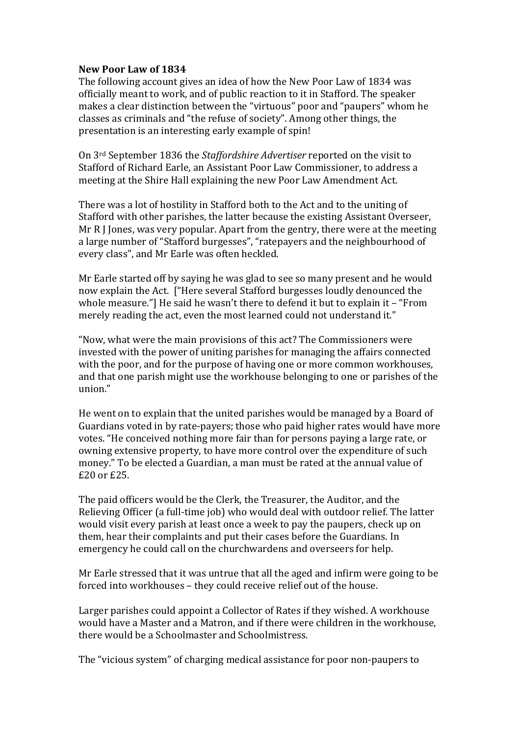## **New Poor Law of 1834**

The following account gives an idea of how the New Poor Law of 1834 was officially meant to work, and of public reaction to it in Stafford. The speaker makes a clear distinction between the "virtuous" poor and "paupers" whom he classes as criminals and "the refuse of society". Among other things, the presentation is an interesting early example of spin!

On 3<sup>rd</sup> September 1836 the *Staffordshire Advertiser* reported on the visit to Stafford of Richard Earle, an Assistant Poor Law Commissioner, to address a meeting at the Shire Hall explaining the new Poor Law Amendment Act.

There was a lot of hostility in Stafford both to the Act and to the uniting of Stafford with other parishes, the latter because the existing Assistant Overseer, Mr R I Jones, was very popular. Apart from the gentry, there were at the meeting a large number of "Stafford burgesses", "ratepayers and the neighbourhood of every class", and Mr Earle was often heckled.

Mr Earle started off by saying he was glad to see so many present and he would now explain the Act. ["Here several Stafford burgesses loudly denounced the whole measure."] He said he wasn't there to defend it but to explain it – "From merely reading the act, even the most learned could not understand it."

"Now, what were the main provisions of this act? The Commissioners were invested with the power of uniting parishes for managing the affairs connected with the poor, and for the purpose of having one or more common workhouses, and that one parish might use the workhouse belonging to one or parishes of the union."

He went on to explain that the united parishes would be managed by a Board of Guardians voted in by rate-payers; those who paid higher rates would have more votes. "He conceived nothing more fair than for persons paying a large rate, or owning extensive property, to have more control over the expenditure of such money." To be elected a Guardian, a man must be rated at the annual value of  $£20$  or  $£25$ .

The paid officers would be the Clerk, the Treasurer, the Auditor, and the Relieving Officer (a full-time iob) who would deal with outdoor relief. The latter would visit every parish at least once a week to pay the paupers, check up on them, hear their complaints and put their cases before the Guardians. In emergency he could call on the churchwardens and overseers for help.

Mr Earle stressed that it was untrue that all the aged and infirm were going to be forced into workhouses - they could receive relief out of the house.

Larger parishes could appoint a Collector of Rates if they wished. A workhouse would have a Master and a Matron, and if there were children in the workhouse, there would be a Schoolmaster and Schoolmistress.

The "vicious system" of charging medical assistance for poor non-paupers to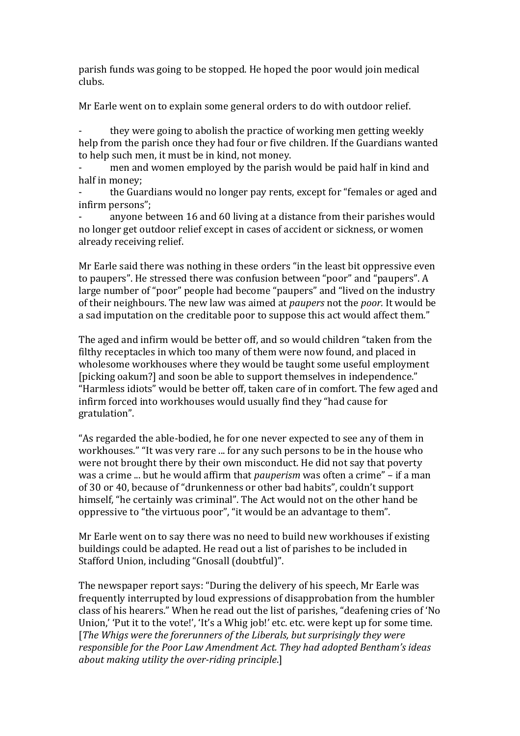parish funds was going to be stopped. He hoped the poor would join medical clubs.

Mr Earle went on to explain some general orders to do with outdoor relief.

they were going to abolish the practice of working men getting weekly help from the parish once they had four or five children. If the Guardians wanted to help such men, it must be in kind, not money.

men and women employed by the parish would be paid half in kind and half in money:

the Guardians would no longer pay rents, except for "females or aged and infirm persons";

anyone between 16 and 60 living at a distance from their parishes would no longer get outdoor relief except in cases of accident or sickness, or women already receiving relief.

Mr Earle said there was nothing in these orders "in the least bit oppressive even to paupers". He stressed there was confusion between "poor" and "paupers". A large number of "poor" people had become "paupers" and "lived on the industry of their neighbours. The new law was aimed at *paupers* not the *poor*. It would be a sad imputation on the creditable poor to suppose this act would affect them."

The aged and infirm would be better off, and so would children "taken from the filthy receptacles in which too many of them were now found, and placed in wholesome workhouses where they would be taught some useful employment [picking oakum?] and soon be able to support themselves in independence." "Harmless idiots" would be better off, taken care of in comfort. The few aged and infirm forced into workhouses would usually find they "had cause for gratulation".

"As regarded the able-bodied, he for one never expected to see any of them in workhouses." "It was very rare ... for any such persons to be in the house who were not brought there by their own misconduct. He did not say that poverty was a crime ... but he would affirm that *pauperism* was often a crime" – if a man of 30 or 40, because of "drunkenness or other bad habits", couldn't support himself, "he certainly was criminal". The Act would not on the other hand be oppressive to "the virtuous poor", "it would be an advantage to them".

Mr Earle went on to say there was no need to build new workhouses if existing buildings could be adapted. He read out a list of parishes to be included in Stafford Union, including "Gnosall (doubtful)".

The newspaper report says: "During the delivery of his speech, Mr Earle was frequently interrupted by loud expressions of disapprobation from the humbler class of his hearers." When he read out the list of parishes, "deafening cries of 'No Union,' 'Put it to the vote!', 'It's a Whig job!' etc. etc. were kept up for some time. [The Whigs were the forerunners of the Liberals, but surprisingly they were *responsible for the Poor Law Amendment Act. They had adopted Bentham's ideas about making utility the over-riding principle.]*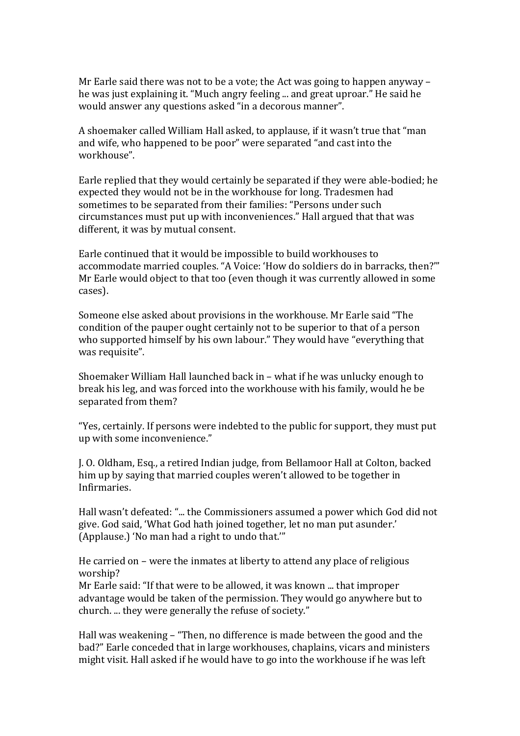Mr Earle said there was not to be a vote; the Act was going to happen anyway – he was just explaining it. "Much angry feeling ... and great uproar." He said he would answer any questions asked "in a decorous manner".

A shoemaker called William Hall asked, to applause, if it wasn't true that "man and wife, who happened to be poor" were separated "and cast into the workhouse".

Earle replied that they would certainly be separated if they were able-bodied; he expected they would not be in the workhouse for long. Tradesmen had sometimes to be separated from their families: "Persons under such circumstances must put up with inconveniences." Hall argued that that was different, it was by mutual consent.

Earle continued that it would be impossible to build workhouses to accommodate married couples. "A Voice: 'How do soldiers do in barracks, then?'" Mr Earle would object to that too (even though it was currently allowed in some cases). 

Someone else asked about provisions in the workhouse. Mr Earle said "The condition of the pauper ought certainly not to be superior to that of a person who supported himself by his own labour." They would have "everything that was requisite".

Shoemaker William Hall launched back in  $-$  what if he was unlucky enough to break his leg, and was forced into the workhouse with his family, would he be separated from them?

"Yes, certainly. If persons were indebted to the public for support, they must put up with some inconvenience."

J. O. Oldham, Esq., a retired Indian judge, from Bellamoor Hall at Colton, backed him up by saying that married couples weren't allowed to be together in Infirmaries.

Hall wasn't defeated: "... the Commissioners assumed a power which God did not give. God said, 'What God hath ioined together, let no man put asunder.' (Applause.) 'No man had a right to undo that."

He carried on – were the inmates at liberty to attend any place of religious worship?

Mr Earle said: "If that were to be allowed, it was known ... that improper advantage would be taken of the permission. They would go anywhere but to church. ... they were generally the refuse of society."

Hall was weakening – "Then, no difference is made between the good and the bad?" Earle conceded that in large workhouses, chaplains, vicars and ministers might visit. Hall asked if he would have to go into the workhouse if he was left